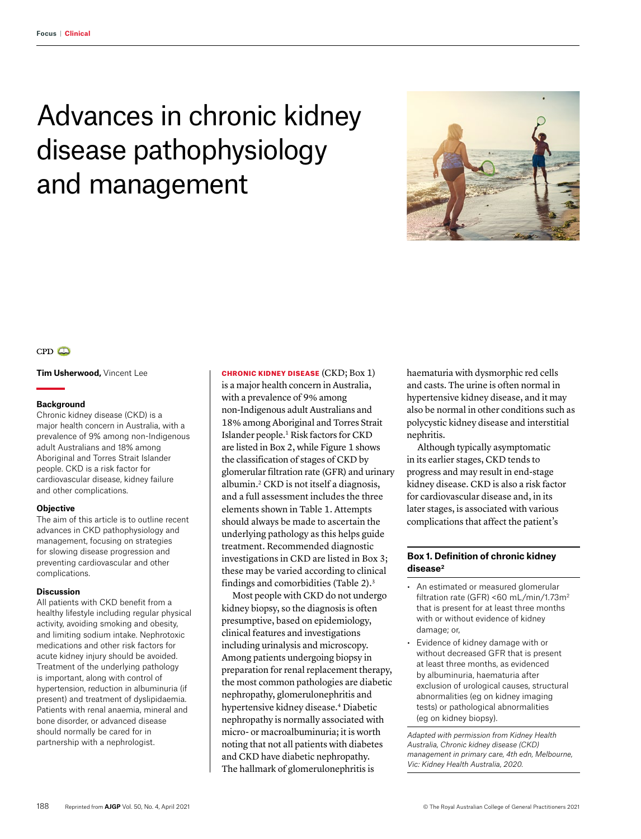# Advances in chronic kidney disease pathophysiology and management





**Tim Usherwood,** Vincent Lee

#### **Background**

Chronic kidney disease (CKD) is a major health concern in Australia, with a prevalence of 9% among non-Indigenous adult Australians and 18% among Aboriginal and Torres Strait Islander people. CKD is a risk factor for cardiovascular disease, kidney failure and other complications.

#### **Objective**

The aim of this article is to outline recent advances in CKD pathophysiology and management, focusing on strategies for slowing disease progression and preventing cardiovascular and other complications.

#### **Discussion**

All patients with CKD benefit from a healthy lifestyle including regular physical activity, avoiding smoking and obesity, and limiting sodium intake. Nephrotoxic medications and other risk factors for acute kidney injury should be avoided. Treatment of the underlying pathology is important, along with control of hypertension, reduction in albuminuria (if present) and treatment of dyslipidaemia. Patients with renal anaemia, mineral and bone disorder, or advanced disease should normally be cared for in partnership with a nephrologist.

CHRONIC KIDNEY DISEASE (CKD; Box 1)

is a major health concern in Australia, with a prevalence of 9% among non-Indigenous adult Australians and 18% among Aboriginal and Torres Strait Islander people.1 Risk factors for CKD are listed in Box 2, while Figure 1 shows the classification of stages of CKD by glomerular filtration rate (GFR) and urinary albumin.2 CKD is not itself a diagnosis, and a full assessment includes the three elements shown in Table 1. Attempts should always be made to ascertain the underlying pathology as this helps guide treatment. Recommended diagnostic investigations in CKD are listed in Box 3; these may be varied according to clinical findings and comorbidities (Table 2).3

Most people with CKD do not undergo kidney biopsy, so the diagnosis is often presumptive, based on epidemiology, clinical features and investigations including urinalysis and microscopy. Among patients undergoing biopsy in preparation for renal replacement therapy, the most common pathologies are diabetic nephropathy, glomerulonephritis and hypertensive kidney disease.4 Diabetic nephropathy is normally associated with micro- or macroalbuminuria; it is worth noting that not all patients with diabetes and CKD have diabetic nephropathy. The hallmark of glomerulonephritis is

haematuria with dysmorphic red cells and casts. The urine is often normal in hypertensive kidney disease, and it may also be normal in other conditions such as polycystic kidney disease and interstitial nephritis.

Although typically asymptomatic in its earlier stages, CKD tends to progress and may result in end-stage kidney disease. CKD is also a risk factor for cardiovascular disease and, in its later stages, is associated with various complications that affect the patient's

## **Box 1. Definition of chronic kidney disease2**

- An estimated or measured glomerular filtration rate (GFR) <60 mL/min/1.73m<sup>2</sup> that is present for at least three months with or without evidence of kidney damage; or,
- Evidence of kidney damage with or without decreased GFR that is present at least three months, as evidenced by albuminuria, haematuria after exclusion of urological causes, structural abnormalities (eg on kidney imaging tests) or pathological abnormalities (eg on kidney biopsy).

*Adapted with permission from Kidney Health Australia, Chronic kidney disease (CKD) management in primary care, 4th edn, Melbourne, Vic: Kidney Health Australia, 2020.*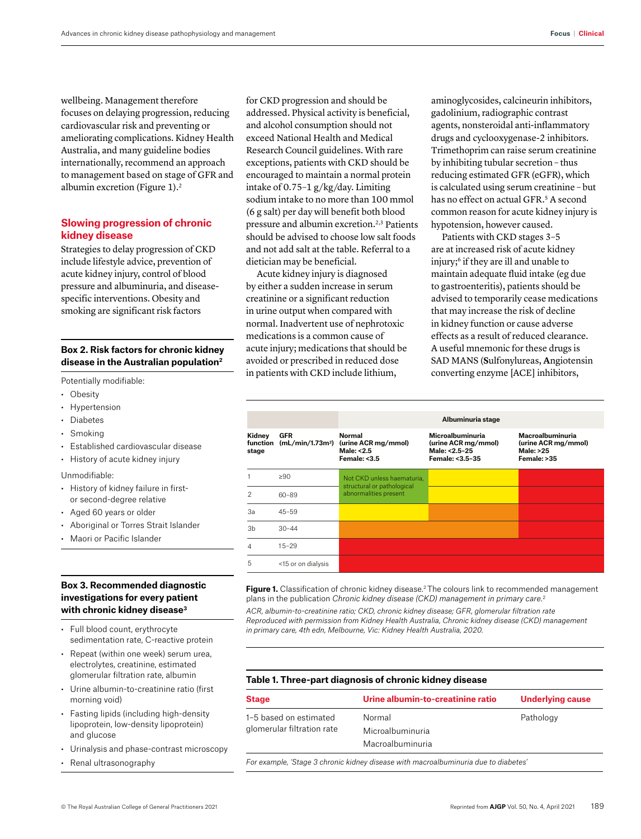wellbeing. Management therefore focuses on delaying progression, reducing cardiovascular risk and preventing or ameliorating complications. Kidney Health Australia, and many guideline bodies internationally, recommend an approach to management based on stage of GFR and albumin excretion (Figure 1).<sup>2</sup>

## **Slowing progression of chronic kidney disease**

Strategies to delay progression of CKD include lifestyle advice, prevention of acute kidney injury, control of blood pressure and albuminuria, and diseasespecific interventions. Obesity and smoking are significant risk factors

## **Box 2. Risk factors for chronic kidney disease in the Australian population2**

Potentially modifiable:

- Obesity
- Hypertension
- Diabetes
- Smoking
- Established cardiovascular disease
- History of acute kidney injury

#### Unmodifiable:

- History of kidney failure in firstor second-degree relative
- Aged 60 years or older
- Aboriginal or Torres Strait Islander
- Maori or Pacific Islander

## **Box 3. Recommended diagnostic investigations for every patient with chronic kidney disease3**

- Full blood count, erythrocyte sedimentation rate, C-reactive protein
- Repeat (within one week) serum urea, electrolytes, creatinine, estimated glomerular filtration rate, albumin
- Urine albumin-to-creatinine ratio (first morning void)
- Fasting lipids (including high-density lipoprotein, low-density lipoprotein) and glucose
- Urinalysis and phase-contrast microscopy
- Renal ultrasonography

for CKD progression and should be addressed. Physical activity is beneficial, and alcohol consumption should not exceed National Health and Medical Research Council guidelines. With rare exceptions, patients with CKD should be encouraged to maintain a normal protein intake of 0.75–1 g/kg/day. Limiting sodium intake to no more than 100 mmol (6 g salt) per day will benefit both blood pressure and albumin excretion.<sup>2,3</sup> Patients should be advised to choose low salt foods and not add salt at the table. Referral to a dietician may be beneficial.

Acute kidney injury is diagnosed by either a sudden increase in serum creatinine or a significant reduction in urine output when compared with normal. Inadvertent use of nephrotoxic medications is a common cause of acute injury; medications that should be avoided or prescribed in reduced dose in patients with CKD include lithium,

aminoglycosides, calcineurin inhibitors, gadolinium, radiographic contrast agents, nonsteroidal anti-inflammatory drugs and cyclooxygenase-2 inhibitors. Trimethoprim can raise serum creatinine by inhibiting tubular secretion – thus reducing estimated GFR (eGFR), which is calculated using serum creatinine – but has no effect on actual GFR.<sup>5</sup> A second common reason for acute kidney injury is hypotension, however caused.

Patients with CKD stages 3–5 are at increased risk of acute kidney injury;6 if they are ill and unable to maintain adequate fluid intake (eg due to gastroenteritis), patients should be advised to temporarily cease medications that may increase the risk of decline in kidney function or cause adverse effects as a result of reduced clearance. A useful mnemonic for these drugs is SAD MANS (**S**ulfonylureas, **A**ngiotensin converting enzyme [ACE] inhibitors,

|                             |                    | Albuminuria stage                                                                        |                                                                             |                                                                     |
|-----------------------------|--------------------|------------------------------------------------------------------------------------------|-----------------------------------------------------------------------------|---------------------------------------------------------------------|
| Kidney<br>function<br>stage | <b>GFR</b>         | Normal<br>(mL/min/1.73m <sup>2</sup> ) (urine ACR mg/mmol)<br>Male: <2.5<br>Female: <3.5 | Microalbuminuria<br>(urine ACR mg/mmol)<br>Male: <2.5-25<br>Female: <3.5-35 | Macroalbuminuria<br>(urine ACR mg/mmol)<br>Male: >25<br>Female: >35 |
|                             | >90                | Not CKD unless haematuria.<br>structural or pathological<br>abnormalities present        |                                                                             |                                                                     |
| 2                           | $60 - 89$          |                                                                                          |                                                                             |                                                                     |
| За                          | $45 - 59$          |                                                                                          |                                                                             |                                                                     |
| 3b                          | $30 - 44$          |                                                                                          |                                                                             |                                                                     |
| 4                           | $15 - 29$          |                                                                                          |                                                                             |                                                                     |
| 5                           | <15 or on dialysis |                                                                                          |                                                                             |                                                                     |

**Figure 1.** Classification of chronic kidney disease.<sup>2</sup> The colours link to recommended management plans in the publication *Chronic kidney disease (CKD) management in primary care*. 2

*ACR, albumin-to-creatinine ratio; CKD, chronic kidney disease; GFR, glomerular filtration rate Reproduced with permission from Kidney Health Australia, Chronic kidney disease (CKD) management in primary care, 4th edn, Melbourne, Vic: Kidney Health Australia, 2020.*

## **Table 1. Three-part diagnosis of chronic kidney disease**

| <b>Stage</b>               | Urine albumin-to-creatinine ratio | Underlying cause |  |
|----------------------------|-----------------------------------|------------------|--|
| 1-5 based on estimated     | Normal                            | Pathology        |  |
| glomerular filtration rate | Microalbuminuria                  |                  |  |
|                            | Macroalbuminuria                  |                  |  |

*For example, 'Stage 3 chronic kidney disease with macroalbuminuria due to diabetes'*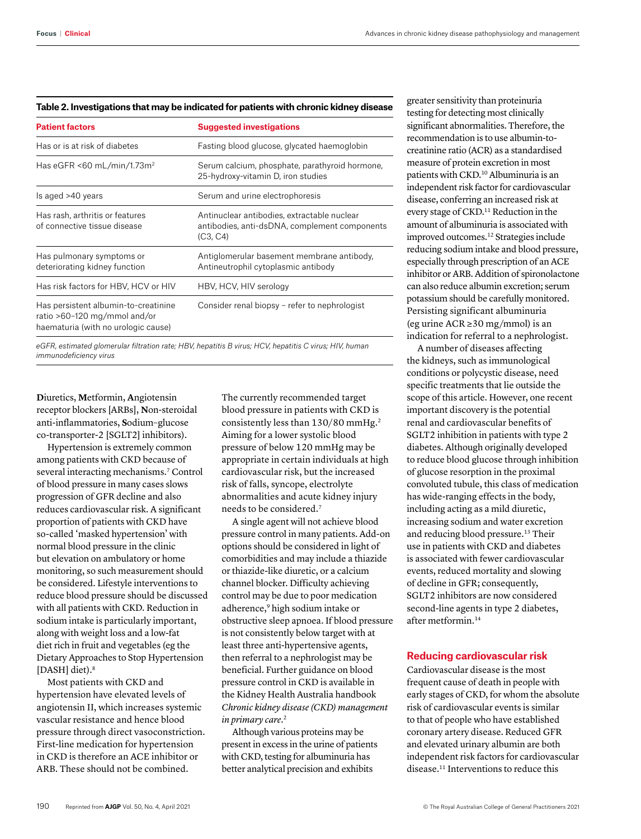| <b>Patient factors</b>                                                                                      | <b>Suggested investigations</b><br>Fasting blood glucose, glycated haemoglobin                           |  |  |
|-------------------------------------------------------------------------------------------------------------|----------------------------------------------------------------------------------------------------------|--|--|
| Has or is at risk of diabetes                                                                               |                                                                                                          |  |  |
| Has eGFR <60 mL/min/1.73 $m2$                                                                               | Serum calcium, phosphate, parathyroid hormone,<br>25-hydroxy-vitamin D, iron studies                     |  |  |
| Is aged >40 years                                                                                           | Serum and urine electrophoresis                                                                          |  |  |
| Has rash, arthritis or features<br>of connective tissue disease                                             | Antinuclear antibodies, extractable nuclear<br>antibodies, anti-dsDNA, complement components<br>(C3, C4) |  |  |
| Has pulmonary symptoms or<br>deteriorating kidney function                                                  | Antiglomerular basement membrane antibody,<br>Antineutrophil cytoplasmic antibody                        |  |  |
| Has risk factors for HBV, HCV or HIV                                                                        | HBV, HCV, HIV serology                                                                                   |  |  |
| Has persistent albumin-to-creatinine<br>ratio >60-120 mg/mmol and/or<br>haematuria (with no urologic cause) | Consider renal biopsy – refer to nephrologist                                                            |  |  |

#### **Table 2. Investigations that may be indicated for patients with chronic kidney disease**

*eGFR, estimated glomerular filtration rate; HBV, hepatitis B virus; HCV, hepatitis C virus; HIV, human immunodeficiency virus*

**D**iuretics, **M**etformin, **A**ngiotensin receptor blockers [ARBs], **N**on-steroidal anti-inflammatories, **S**odium–glucose co-transporter-2 [SGLT2] inhibitors).

Hypertension is extremely common among patients with CKD because of several interacting mechanisms.<sup>7</sup> Control of blood pressure in many cases slows progression of GFR decline and also reduces cardiovascular risk. A significant proportion of patients with CKD have so-called 'masked hypertension' with normal blood pressure in the clinic but elevation on ambulatory or home monitoring, so such measurement should be considered. Lifestyle interventions to reduce blood pressure should be discussed with all patients with CKD. Reduction in sodium intake is particularly important, along with weight loss and a low-fat diet rich in fruit and vegetables (eg the Dietary Approaches to Stop Hypertension [DASH] diet).<sup>8</sup>

Most patients with CKD and hypertension have elevated levels of angiotensin II, which increases systemic vascular resistance and hence blood pressure through direct vasoconstriction. First-line medication for hypertension in CKD is therefore an ACE inhibitor or ARB. These should not be combined.

The currently recommended target blood pressure in patients with CKD is consistently less than 130/80 mmHg.2 Aiming for a lower systolic blood pressure of below 120 mmHg may be appropriate in certain individuals at high cardiovascular risk, but the increased risk of falls, syncope, electrolyte abnormalities and acute kidney injury needs to be considered.7

A single agent will not achieve blood pressure control in many patients. Add-on options should be considered in light of comorbidities and may include a thiazide or thiazide-like diuretic, or a calcium channel blocker. Difficulty achieving control may be due to poor medication adherence,<sup>9</sup> high sodium intake or obstructive sleep apnoea. If blood pressure is not consistently below target with at least three anti-hypertensive agents, then referral to a nephrologist may be beneficial. Further guidance on blood pressure control in CKD is available in the Kidney Health Australia handbook *Chronic kidney disease (CKD) management in primary care*. 2

Although various proteins may be present in excess in the urine of patients with CKD, testing for albuminuria has better analytical precision and exhibits

greater sensitivity than proteinuria testing for detecting most clinically significant abnormalities. Therefore, the recommendation is to use albumin-tocreatinine ratio (ACR) as a standardised measure of protein excretion in most patients with CKD.10 Albuminuria is an independent risk factor for cardiovascular disease, conferring an increased risk at every stage of CKD.11 Reduction in the amount of albuminuria is associated with improved outcomes.12 Strategies include reducing sodium intake and blood pressure, especially through prescription of an ACE inhibitor or ARB. Addition of spironolactone can also reduce albumin excretion; serum potassium should be carefully monitored. Persisting significant albuminuria (eg urine ACR ≥30 mg/mmol) is an indication for referral to a nephrologist.

A number of diseases affecting the kidneys, such as immunological conditions or polycystic disease, need specific treatments that lie outside the scope of this article. However, one recent important discovery is the potential renal and cardiovascular benefits of SGLT2 inhibition in patients with type 2 diabetes. Although originally developed to reduce blood glucose through inhibition of glucose resorption in the proximal convoluted tubule, this class of medication has wide-ranging effects in the body, including acting as a mild diuretic, increasing sodium and water excretion and reducing blood pressure.13 Their use in patients with CKD and diabetes is associated with fewer cardiovascular events, reduced mortality and slowing of decline in GFR; consequently, SGLT2 inhibitors are now considered second-line agents in type 2 diabetes, after metformin.14

## **Reducing cardiovascular risk**

Cardiovascular disease is the most frequent cause of death in people with early stages of CKD, for whom the absolute risk of cardiovascular events is similar to that of people who have established coronary artery disease. Reduced GFR and elevated urinary albumin are both independent risk factors for cardiovascular disease.11 Interventions to reduce this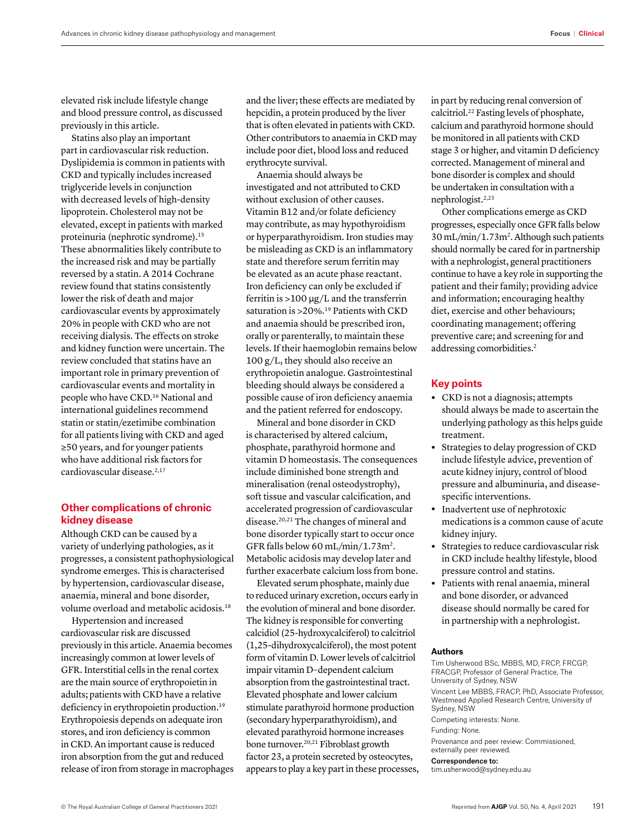elevated risk include lifestyle change and blood pressure control, as discussed previously in this article.

Statins also play an important part in cardiovascular risk reduction. Dyslipidemia is common in patients with CKD and typically includes increased triglyceride levels in conjunction with decreased levels of high-density lipoprotein. Cholesterol may not be elevated, except in patients with marked proteinuria (nephrotic syndrome).15 These abnormalities likely contribute to the increased risk and may be partially reversed by a statin. A 2014 Cochrane review found that statins consistently lower the risk of death and major cardiovascular events by approximately 20% in people with CKD who are not receiving dialysis. The effects on stroke and kidney function were uncertain. The review concluded that statins have an important role in primary prevention of cardiovascular events and mortality in people who have CKD.16 National and international guidelines recommend statin or statin/ezetimibe combination for all patients living with CKD and aged ≥50 years, and for younger patients who have additional risk factors for cardiovascular disease.<sup>2,17</sup>

# **Other complications of chronic kidney disease**

Although CKD can be caused by a variety of underlying pathologies, as it progresses, a consistent pathophysiological syndrome emerges. This is characterised by hypertension, cardiovascular disease, anaemia, mineral and bone disorder, volume overload and metabolic acidosis.18

Hypertension and increased cardiovascular risk are discussed previously in this article. Anaemia becomes increasingly common at lower levels of GFR. Interstitial cells in the renal cortex are the main source of erythropoietin in adults; patients with CKD have a relative deficiency in erythropoietin production.<sup>19</sup> Erythropoiesis depends on adequate iron stores, and iron deficiency is common in CKD. An important cause is reduced iron absorption from the gut and reduced release of iron from storage in macrophages and the liver; these effects are mediated by hepcidin, a protein produced by the liver that is often elevated in patients with CKD. Other contributors to anaemia in CKD may include poor diet, blood loss and reduced erythrocyte survival.

Anaemia should always be investigated and not attributed to CKD without exclusion of other causes. Vitamin B12 and/or folate deficiency may contribute, as may hypothyroidism or hyperparathyroidism. Iron studies may be misleading as CKD is an inflammatory state and therefore serum ferritin may be elevated as an acute phase reactant. Iron deficiency can only be excluded if ferritin is >100 μg/L and the transferrin saturation is >20%.19 Patients with CKD and anaemia should be prescribed iron, orally or parenterally, to maintain these levels. If their haemoglobin remains below  $100 \frac{g}{L}$ , they should also receive an erythropoietin analogue. Gastrointestinal bleeding should always be considered a possible cause of iron deficiency anaemia and the patient referred for endoscopy.

Mineral and bone disorder in CKD is characterised by altered calcium, phosphate, parathyroid hormone and vitamin D homeostasis. The consequences include diminished bone strength and mineralisation (renal osteodystrophy), soft tissue and vascular calcification, and accelerated progression of cardiovascular disease.20,21 The changes of mineral and bone disorder typically start to occur once GFR falls below 60 mL/min/1.73m2. Metabolic acidosis may develop later and further exacerbate calcium loss from bone.

Elevated serum phosphate, mainly due to reduced urinary excretion, occurs early in the evolution of mineral and bone disorder. The kidney is responsible for converting calcidiol (25-hydroxycalciferol) to calcitriol (1,25-dihydroxycalciferol), the most potent form of vitamin D. Lower levels of calcitriol impair vitamin D–dependent calcium absorption from the gastrointestinal tract. Elevated phosphate and lower calcium stimulate parathyroid hormone production (secondary hyperparathyroidism), and elevated parathyroid hormone increases bone turnover.20,21 Fibroblast growth factor 23, a protein secreted by osteocytes, appears to play a key part in these processes, in part by reducing renal conversion of calcitriol.22 Fasting levels of phosphate, calcium and parathyroid hormone should be monitored in all patients with CKD stage 3 or higher, and vitamin D deficiency corrected. Management of mineral and bone disorder is complex and should be undertaken in consultation with a nephrologist.2,23

Other complications emerge as CKD progresses, especially once GFR falls below 30 mL/min/1.73m2. Although such patients should normally be cared for in partnership with a nephrologist, general practitioners continue to have a key role in supporting the patient and their family; providing advice and information; encouraging healthy diet, exercise and other behaviours; coordinating management; offering preventive care; and screening for and addressing comorbidities.2

## **Key points**

- **•** CKD is not a diagnosis; attempts should always be made to ascertain the underlying pathology as this helps guide treatment.
- **•** Strategies to delay progression of CKD include lifestyle advice, prevention of acute kidney injury, control of blood pressure and albuminuria, and diseasespecific interventions.
- **•** Inadvertent use of nephrotoxic medications is a common cause of acute kidney injury.
- **•** Strategies to reduce cardiovascular risk in CKD include healthy lifestyle, blood pressure control and statins.
- **•** Patients with renal anaemia, mineral and bone disorder, or advanced disease should normally be cared for in partnership with a nephrologist.

## **Authors**

Tim Usherwood BSc, MBBS, MD, FRCP, FRCGP, FRACGP, Professor of General Practice, The University of Sydney, NSW Vincent Lee MBBS, FRACP, PhD, Associate Professor, Westmead Applied Research Centre, University of Sydney, NSW Competing interests: None. Funding: None. Provenance and peer review: Commissioned, externally peer reviewed. Correspondence to: tim.usherwood@sydney.edu.au